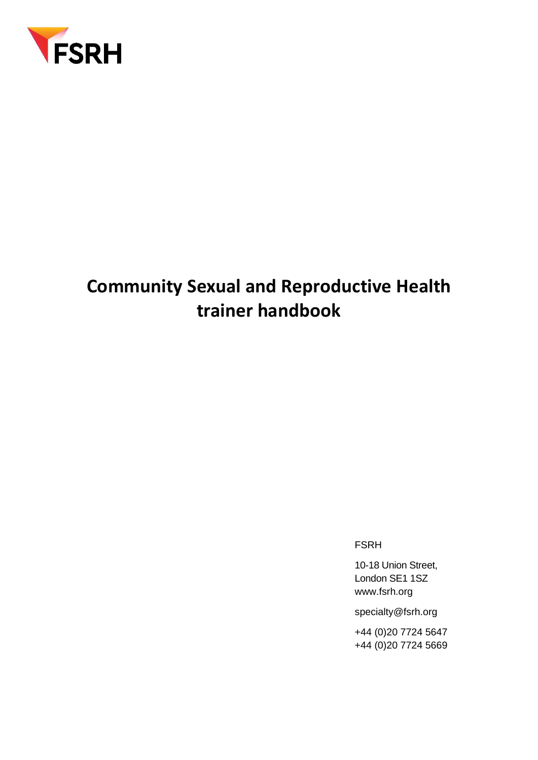

# **Community Sexual and Reproductive Health trainer handbook**

FSRH

10-18 Union Street, London SE1 1SZ [www.fsrh.org](http://www.fsrh.org/)

specialty@fsrh.org

+44 (0)20 7724 5647 +44 (0)20 7724 5669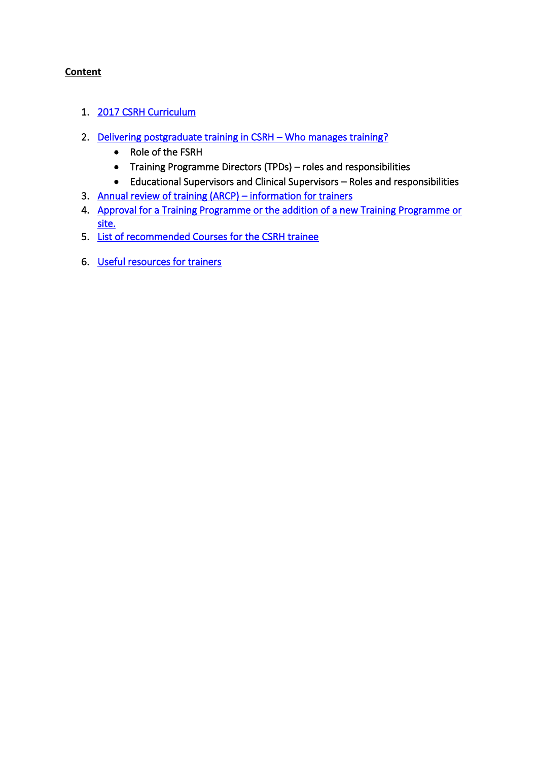### **Content**

- <span id="page-1-0"></span>1. [2017 CSRH Curriculum](#page-1-0)
- <span id="page-1-1"></span>2. [Delivering postgraduate training in CSRH](#page-1-1) – Who manages training?
	- Role of the FSRH
	- Training Programme Directors (TPDs) roles and responsibilities
	- Educational Supervisors and Clinical Supervisors Roles and responsibilities
- 3. [Annual review of training \(ARCP\)](#page-5-0)  information for trainers
- 4. [Approval for a Training Programme or the addition of a new Training](#page-5-0) Programme or [site.](#page-5-0)
- 5. [List of recommended Courses for the CSRH trainee](#page-7-0)
- 6. [Useful resources for trainers](#page-9-0)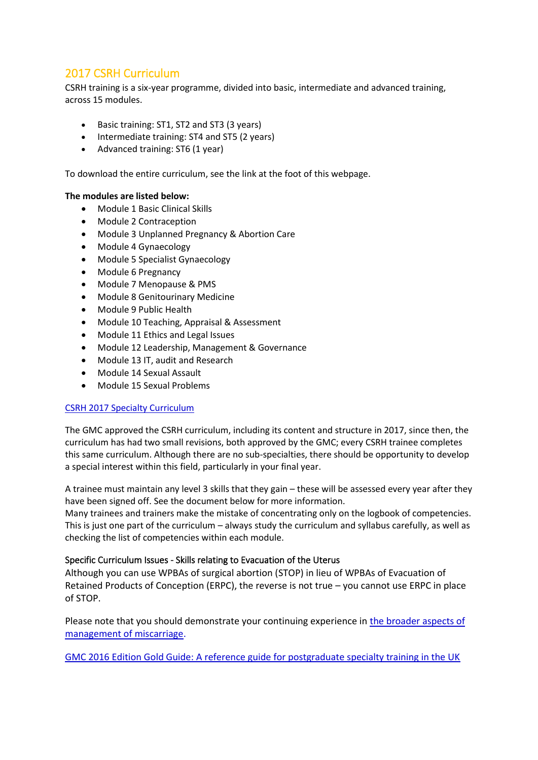# 2017 CSRH Curriculum

CSRH training is a six-year programme, divided into basic, intermediate and advanced training, across 15 modules.

- Basic training: ST1, ST2 and ST3 (3 years)
- Intermediate training: ST4 and ST5 (2 years)
- Advanced training: ST6 (1 year)

To download the entire curriculum, see the link at the foot of this webpage.

### **The modules are listed below:**

- Module 1 Basic Clinical Skills
- Module 2 Contraception
- Module 3 Unplanned Pregnancy & Abortion Care
- Module 4 Gynaecology
- Module 5 Specialist Gynaecology
- Module 6 Pregnancy
- Module 7 Menopause & PMS
- Module 8 Genitourinary Medicine
- Module 9 Public Health
- Module 10 Teaching, Appraisal & Assessment
- Module 11 Ethics and Legal Issues
- Module 12 Leadership, Management & Governance
- Module 13 IT, audit and Research
- Module 14 Sexual Assault
- Module 15 Sexual Problems

### [CSRH 2017 Specialty Curriculum](https://www.fsrh.org/documents/csrh-2017-specialty-curriculum/)

The GMC approved the CSRH curriculum, including its content and structure in 2017, since then, the curriculum has had two small revisions, both approved by the GMC; every CSRH trainee completes this same curriculum. Although there are no sub-specialties, there should be opportunity to develop a special interest within this field, particularly in your final year.

A trainee must maintain any level 3 skills that they gain – these will be assessed every year after they have been signed off. See the document below for more information.

Many trainees and trainers make the mistake of concentrating only on the logbook of competencies. This is just one part of the curriculum – always study the curriculum and syllabus carefully, as well as checking the list of competencies within each module.

### Specific Curriculum Issues - Skills relating to Evacuation of the Uterus

Although you can use WPBAs of surgical abortion (STOP) in lieu of WPBAs of Evacuation of Retained Products of Conception (ERPC), the reverse is not true – you cannot use ERPC in place of STOP.

Please note that you should demonstrate your continuing experience in [the broader aspects of](https://www.fsrh.org/documents/the-broader-aspects-of-management-of-miscarriage/)  [management of miscarriage.](https://www.fsrh.org/documents/the-broader-aspects-of-management-of-miscarriage/)

[GMC 2016 Edition Gold Guide: A reference guide for postgraduate specialty training in the UK](https://www.gmc-uk.org/education/undergraduate/15_6_provisions_of_the_gold_guide.asp)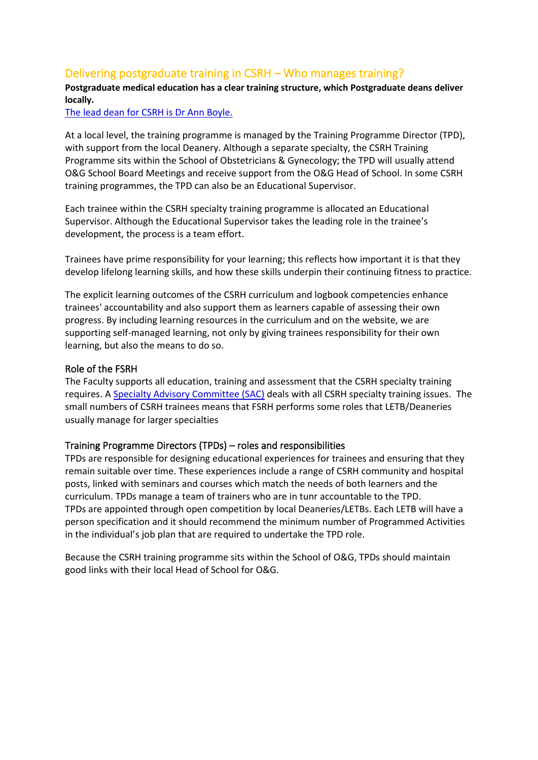# Delivering postgraduate training in CSRH – Who manages training?

### **Postgraduate medical education has a clear training structure, which Postgraduate deans deliver locally.**

[The lead dean for CSRH is Dr](https://www.copmed.org.uk/key-staff/dr-ann-boyle) Ann Boyle.

At a local level, the training programme is managed by the Training Programme Director (TPD), with support from the local Deanery. Although a separate specialty, the CSRH Training Programme sits within the School of Obstetricians & Gynecology; the TPD will usually attend O&G School Board Meetings and receive support from the O&G Head of School. In some CSRH training programmes, the TPD can also be an Educational Supervisor.

Each trainee within the CSRH specialty training programme is allocated an Educational Supervisor. Although the Educational Supervisor takes the leading role in the trainee's development, the process is a team effort.

Trainees have prime responsibility for your learning; this reflects how important it is that they develop lifelong learning skills, and how these skills underpin their continuing fitness to practice.

The explicit learning outcomes of the CSRH curriculum and logbook competencies enhance trainees' accountability and also support them as learners capable of assessing their own progress. By including learning resources in the curriculum and on the website, we are supporting self-managed learning, not only by giving trainees responsibility for their own learning, but also the means to do so.

### Role of the FSRH

The Faculty supports all education, training and assessment that the CSRH specialty training requires. A [Specialty Advisory Committee \(SAC\)](https://www.fsrh.org/about-us/fsrh-committees/) deals with all CSRH specialty training issues. The small numbers of CSRH trainees means that FSRH performs some roles that LETB/Deaneries usually manage for larger specialties

### Training Programme Directors (TPDs) – roles and responsibilities

TPDs are responsible for designing educational experiences for trainees and ensuring that they remain suitable over time. These experiences include a range of CSRH community and hospital posts, linked with seminars and courses which match the needs of both learners and the curriculum. TPDs manage a team of trainers who are in tunr accountable to the TPD. TPDs are appointed through open competition by local Deaneries/LETBs. Each LETB will have a person specification and it should recommend the minimum number of Programmed Activities in the individual's job plan that are required to undertake the TPD role.

Because the CSRH training programme sits within the School of O&G, TPDs should maintain good links with their local Head of School for O&G.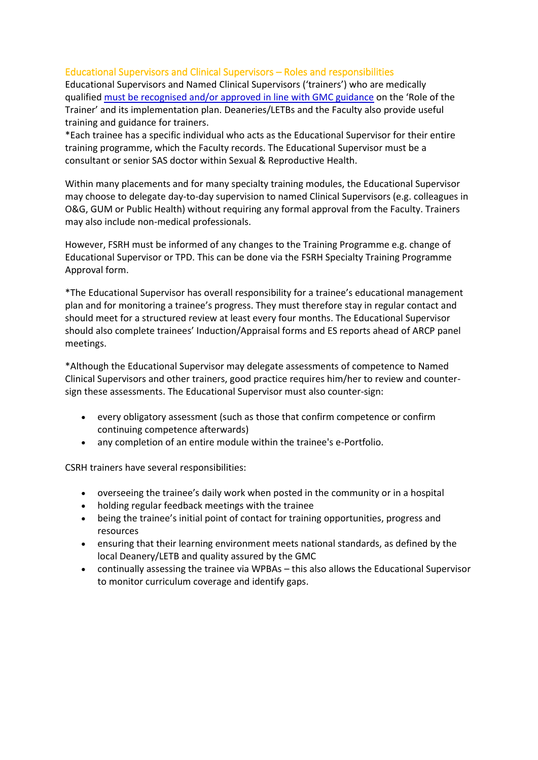### Educational Supervisors and Clinical Supervisors – Roles and responsibilities

Educational Supervisors and Named Clinical Supervisors ('trainers') who are medically qualified [must be recognised and/or approved in line with GMC guidance](http://www.gmc-uk.org/education/10264.asp) on the 'Role of the Trainer' and its implementation plan. Deaneries/LETBs and the Faculty also provide useful training and guidance for trainers.

\*Each trainee has a specific individual who acts as the Educational Supervisor for their entire training programme, which the Faculty records. The Educational Supervisor must be a consultant or senior SAS doctor within Sexual & Reproductive Health.

Within many placements and for many specialty training modules, the Educational Supervisor may choose to delegate day-to-day supervision to named Clinical Supervisors (e.g. colleagues in O&G, GUM or Public Health) without requiring any formal approval from the Faculty. Trainers may also include non-medical professionals.

However, FSRH must be informed of any changes to the Training Programme e.g. change of Educational Supervisor or TPD. This can be done via the FSRH Specialty Training Programme Approval form.

\*The Educational Supervisor has overall responsibility for a trainee's educational management plan and for monitoring a trainee's progress. They must therefore stay in regular contact and should meet for a structured review at least every four months. The Educational Supervisor should also complete trainees' Induction/Appraisal forms and ES reports ahead of ARCP panel meetings.

\*Although the Educational Supervisor may delegate assessments of competence to Named Clinical Supervisors and other trainers, good practice requires him/her to review and countersign these assessments. The Educational Supervisor must also counter-sign:

- every obligatory assessment (such as those that confirm competence or confirm continuing competence afterwards)
- any completion of an entire module within the trainee's e-Portfolio.

CSRH trainers have several responsibilities:

- overseeing the trainee's daily work when posted in the community or in a hospital
- holding regular feedback meetings with the trainee
- being the trainee's initial point of contact for training opportunities, progress and resources
- ensuring that their learning environment meets national standards, as defined by the local Deanery/LETB and quality assured by the GMC
- continually assessing the trainee via WPBAs this also allows the Educational Supervisor to monitor curriculum coverage and identify gaps.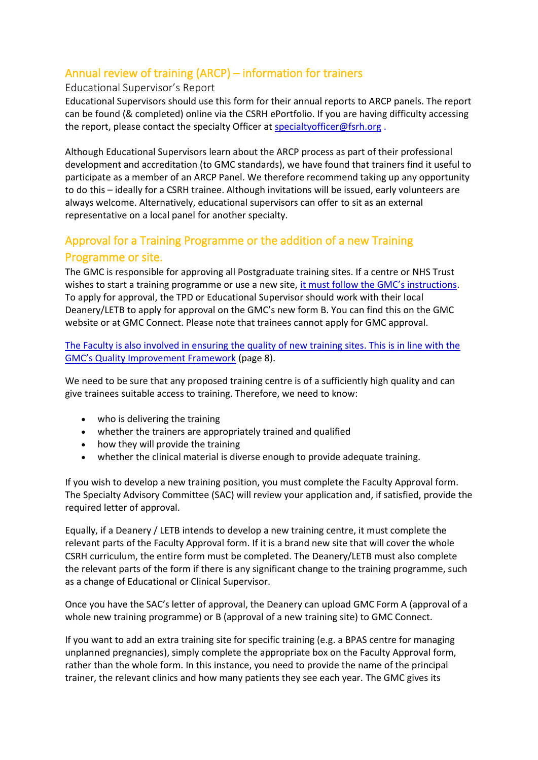# Annual review of training (ARCP) – information for trainers

### Educational Supervisor's Report

Educational Supervisors should use this form for their annual reports to ARCP panels. The report can be found (& completed) online via the CSRH ePortfolio. If you are having difficulty accessing the report, please contact the specialty Officer at specialty officer@fsrh.org.

Although Educational Supervisors learn about the ARCP process as part of their professional development and accreditation (to GMC standards), we have found that trainers find it useful to participate as a member of an ARCP Panel. We therefore recommend taking up any opportunity to do this – ideally for a CSRH trainee. Although invitations will be issued, early volunteers are always welcome. Alternatively, educational supervisors can offer to sit as an external representative on a local panel for another specialty.

# <span id="page-5-0"></span>Approval for a Training Programme or the addition of a new Training Programme or site.

The GMC is responsible for approving all Postgraduate training sites. If a centre or NHS Trust wishes to start a training programme or use a new site, [it must follow the GMC's instructions](http://www.gmc-uk.org/education/27031.asp). To apply for approval, the TPD or Educational Supervisor should work with their local Deanery/LETB to apply for approval on the GMC's new form B. You can find this on the GMC website or at GMC Connect. Please note that trainees cannot apply for GMC approval.

[The Faculty is also involved in ensuring the quality of new training sites. This is in line with the](http://www.gmc-uk.org/Quality_Improvement_Framework.pdf_39623044.pdf)  [GMC's Quality Improvement Framework](http://www.gmc-uk.org/Quality_Improvement_Framework.pdf_39623044.pdf) (page 8).

We need to be sure that any proposed training centre is of a sufficiently high quality and can give trainees suitable access to training. Therefore, we need to know:

- who is delivering the training
- whether the trainers are appropriately trained and qualified
- how they will provide the training
- whether the clinical material is diverse enough to provide adequate training.

If you wish to develop a new training position, you must complete the Faculty Approval form. The Specialty Advisory Committee (SAC) will review your application and, if satisfied, provide the required letter of approval.

Equally, if a Deanery / LETB intends to develop a new training centre, it must complete the relevant parts of the Faculty Approval form. If it is a brand new site that will cover the whole CSRH curriculum, the entire form must be completed. The Deanery/LETB must also complete the relevant parts of the form if there is any significant change to the training programme, such as a change of Educational or Clinical Supervisor.

Once you have the SAC's letter of approval, the Deanery can upload GMC Form A (approval of a whole new training programme) or B (approval of a new training site) to GMC Connect.

If you want to add an extra training site for specific training (e.g. a BPAS centre for managing unplanned pregnancies), simply complete the appropriate box on the Faculty Approval form, rather than the whole form. In this instance, you need to provide the name of the principal trainer, the relevant clinics and how many patients they see each year. The GMC gives its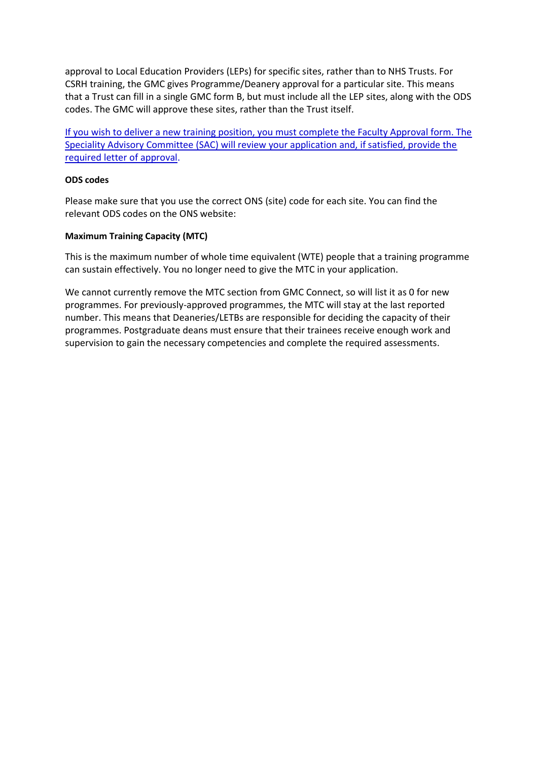approval to Local Education Providers (LEPs) for specific sites, rather than to NHS Trusts. For CSRH training, the GMC gives Programme/Deanery approval for a particular site. This means that a Trust can fill in a single GMC form B, but must include all the LEP sites, along with the ODS codes. The GMC will approve these sites, rather than the Trust itself.

[If you wish to deliver a new training position, you must complete the Faculty Approval form. The](https://www.fsrh.org/documents/training-centre-application-form-for-csrh-specialty-training/)  [Speciality Advisory Committee \(SAC\) will review your application and, if satisfied, provide the](https://www.fsrh.org/documents/training-centre-application-form-for-csrh-specialty-training/)  [required letter of approval.](https://www.fsrh.org/documents/training-centre-application-form-for-csrh-specialty-training/)

### **ODS codes**

Please make sure that you use the correct ONS (site) code for each site. You can find the relevant ODS codes on the ONS website:

### **Maximum Training Capacity (MTC)**

This is the maximum number of whole time equivalent (WTE) people that a training programme can sustain effectively. You no longer need to give the MTC in your application.

We cannot currently remove the MTC section from GMC Connect, so will list it as 0 for new programmes. For previously-approved programmes, the MTC will stay at the last reported number. This means that Deaneries/LETBs are responsible for deciding the capacity of their programmes. Postgraduate deans must ensure that their trainees receive enough work and supervision to gain the necessary competencies and complete the required assessments.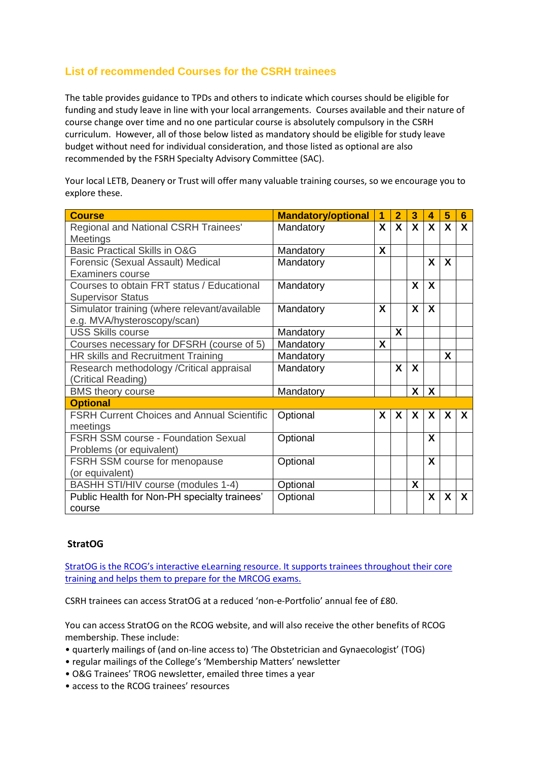# <span id="page-7-0"></span>**List of recommended Courses for the CSRH trainees**

The table provides guidance to TPDs and others to indicate which courses should be eligible for funding and study leave in line with your local arrangements. Courses available and their nature of course change over time and no one particular course is absolutely compulsory in the CSRH curriculum. However, all of those below listed as mandatory should be eligible for study leave budget without need for individual consideration, and those listed as optional are also recommended by the FSRH Specialty Advisory Committee (SAC).

Your local LETB, Deanery or Trust will offer many valuable training courses, so we encourage you to explore these.

| <b>Course</b>                                     | <b>Mandatory/optional</b> | 1                       | $\overline{2}$ | 3            | 4                         | 5            | 6                         |
|---------------------------------------------------|---------------------------|-------------------------|----------------|--------------|---------------------------|--------------|---------------------------|
| Regional and National CSRH Trainees'              | Mandatory                 | $\mathbf{X}$            | $\mathbf{x}$   | $\mathbf{x}$ | $\mathbf{x}$              | $\mathsf{X}$ | $\boldsymbol{\mathsf{x}}$ |
| <b>Meetings</b>                                   |                           |                         |                |              |                           |              |                           |
| <b>Basic Practical Skills in O&amp;G</b>          | Mandatory                 | X                       |                |              |                           |              |                           |
| Forensic (Sexual Assault) Medical                 | Mandatory                 |                         |                |              | X                         | X            |                           |
| Examiners course                                  |                           |                         |                |              |                           |              |                           |
| Courses to obtain FRT status / Educational        | Mandatory                 |                         |                | X            | X                         |              |                           |
| <b>Supervisor Status</b>                          |                           |                         |                |              |                           |              |                           |
| Simulator training (where relevant/available      | Mandatory                 | X                       |                | X            | X                         |              |                           |
| e.g. MVA/hysteroscopy/scan)                       |                           |                         |                |              |                           |              |                           |
| <b>USS Skills course</b>                          | Mandatory                 |                         | X              |              |                           |              |                           |
| Courses necessary for DFSRH (course of 5)         | Mandatory                 | $\overline{\mathsf{X}}$ |                |              |                           |              |                           |
| HR skills and Recruitment Training                | Mandatory                 |                         |                |              |                           | X            |                           |
| Research methodology / Critical appraisal         | Mandatory                 |                         | X              | X            |                           |              |                           |
| (Critical Reading)                                |                           |                         |                |              |                           |              |                           |
| <b>BMS</b> theory course                          | Mandatory                 |                         |                | X            | $\mathbf{x}$              |              |                           |
| <b>Optional</b>                                   |                           |                         |                |              |                           |              |                           |
| <b>FSRH Current Choices and Annual Scientific</b> | Optional                  | X                       | X              | X            | $\boldsymbol{\mathsf{X}}$ | X            | X                         |
| meetings                                          |                           |                         |                |              |                           |              |                           |
| <b>FSRH SSM course - Foundation Sexual</b>        | Optional                  |                         |                |              | X                         |              |                           |
| Problems (or equivalent)                          |                           |                         |                |              |                           |              |                           |
| FSRH SSM course for menopause                     | Optional                  |                         |                |              | X                         |              |                           |
| (or equivalent)                                   |                           |                         |                |              |                           |              |                           |
| BASHH STI/HIV course (modules 1-4)                | Optional                  |                         |                | X            |                           |              |                           |
| Public Health for Non-PH specialty trainees'      | Optional                  |                         |                |              | X                         | X            | X                         |
| course                                            |                           |                         |                |              |                           |              |                           |

### **StratOG**

[StratOG is the RCOG's interactive eLearning resource. It supports trainees throughout their core](https://www.rcog.org.uk/en/careers-training/resources--support-for-trainees/elearning/)  [training and helps them to prepare for the MRCOG exams.](https://www.rcog.org.uk/en/careers-training/resources--support-for-trainees/elearning/)

CSRH trainees can access StratOG at a reduced 'non-e-Portfolio' annual fee of £80.

You can access StratOG on the RCOG website, and will also receive the other benefits of RCOG membership. These include:

- quarterly mailings of (and on-line access to) 'The Obstetrician and Gynaecologist' (TOG)
- regular mailings of the College's 'Membership Matters' newsletter
- O&G Trainees' TROG newsletter, emailed three times a year
- access to the RCOG trainees' resources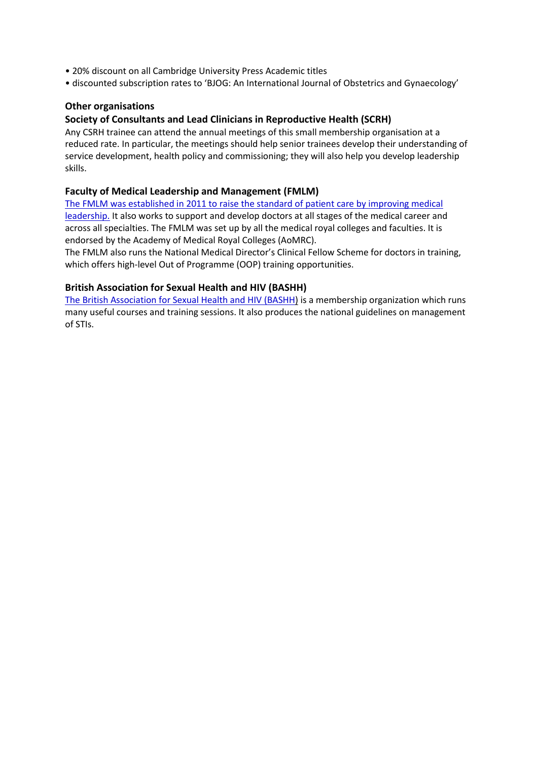- 20% discount on all Cambridge University Press Academic titles
- discounted subscription rates to 'BJOG: An International Journal of Obstetrics and Gynaecology'

### **Other organisations**

### **Society of Consultants and Lead Clinicians in Reproductive Health (SCRH)**

Any CSRH trainee can attend the annual meetings of this small membership organisation at a reduced rate. In particular, the meetings should help senior trainees develop their understanding of service development, health policy and commissioning; they will also help you develop leadership skills.

### **Faculty of Medical Leadership and Management (FMLM)**

[The FMLM was established in 2011 to raise the standard of patient care by improving medical](https://www.fmlm.ac.uk/)  [leadership.](https://www.fmlm.ac.uk/) It also works to support and develop doctors at all stages of the medical career and across all specialties. The FMLM was set up by all the medical royal colleges and faculties. It is endorsed by the Academy of Medical Royal Colleges (AoMRC).

The FMLM also runs the National Medical Director's Clinical Fellow Scheme for doctors in training, which offers high-level Out of Programme (OOP) training opportunities.

#### **British Association for Sexual Health and HIV (BASHH)**

[The British Association for Sexual Health and HIV \(BASHH\)](http://www.bashh.org/) is a membership organization which runs many useful courses and training sessions. It also produces the national guidelines on management of STIs.